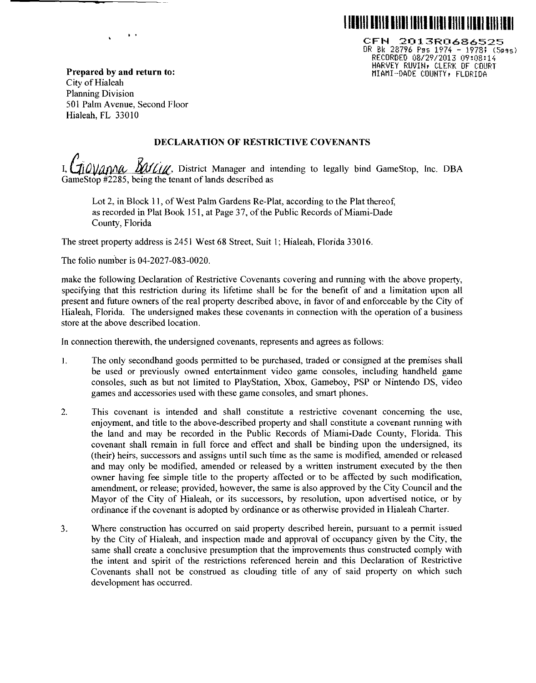

CFN 2013R0686525  $OR$   $Bk$  28796  $F$ gs 1974 - 1978; (5pgs) RECORDED 08129/2013 09:08:14 HARVEY RUVIN, CLERK OF COURT MIAMI-DADE COUNTY, FLORIDA

**Prepared by and return to:**  City of Hialeah Planning Division 501 Palm Avenue, Second Floor Hialeah, FL 33010

..

### **DECLARATION OF RESTRICTIVE COVENANTS**

| I, Giovanna Barting, District Manager and intending to legally bind GameStop, Inc. DBA |  |  |  |  |  |  |
|----------------------------------------------------------------------------------------|--|--|--|--|--|--|
| GameStop #2285, being the tenant of lands described as                                 |  |  |  |  |  |  |

Lot 2, in Block 11, of West Palm Gardens Re-Piat, according to the Plat thereof, as recorded in Plat Book !51, at Page 37, of the Public Records of Miami-Dade County, Florida

The street property address is 2451 West 68 Street, Suit I; Hialeah, Florida 33016.

The folio number is 04-2027-083-0020.

make the following Declaration of Restrictive Covenants covering and running with the above property, specifying that this restriction during its lifetime shall be for the benefit of and a limitation upon all present and future owners of the real property described above, in favor of and enforceable by the City of Hialeah, Florida. The undersigned makes these covenants in connection with the operation of a business store at the above described location.

In connection therewith, the undersigned covenants, represents and agrees as follows:

- I. The only secondhand goods permitted to be purchased, traded or consigned at the premises shall be used or previously owned entertainment video game consoles, including handheld game consoles, such as but not limited to PlayStation, Xbox, Gameboy, PSP or Nintendo DS, video games and accessories used with these game consoles, and smart phones.
- 2. This covenant is intended and shall constitute a restrictive covenant concerning the use, enjoyment, and title to the above-described property and shall constitute a covenant running with the land and may be recorded in the Public Records of Miami-Dade County, Florida. This covenant shall remain in full force and effect and shall be binding upon the undersigned, its (their) heirs, successors and assigns until such time as the same is modified, amended or released and may only be modified, amended or released by a written instrument executed by the then owner having fee simple title to the property affected or to be affected by such modification, amendment, or release; provided, however, the same is also approved by the City Council and the Mayor of the City of Hialeah, or its successors, by resolution, upon advertised notice, or by ordinance if the covenant is adopted by ordinance or as otherwise provided in Hialeah Charter.
- 3. Where construction has occurred on said property described herein, pursuant to a permit issued by the City of Hialeah, and inspection made and approval of occupancy given by the City, the same shall create a conclusive presumption that the improvements thus constructed comply with the intent and spirit of the restrictions referenced herein and this Declaration of Restrictive Covenants shall not be construed as clouding title of any of said property on which such development has occurred.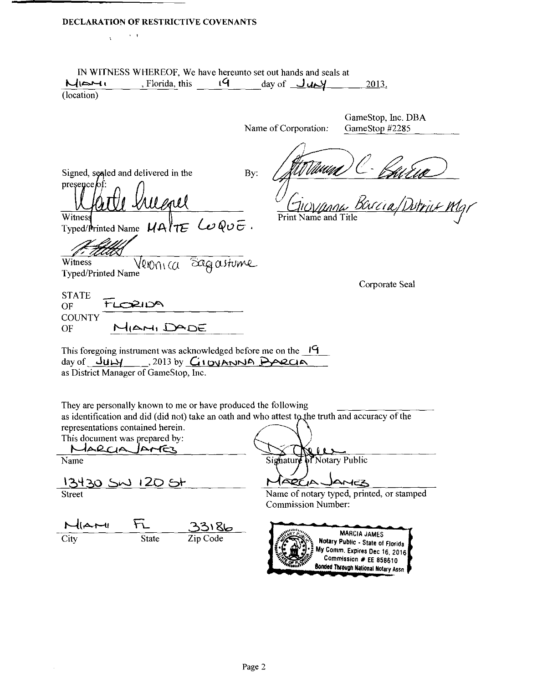# DECLARATION OF RESTRICTIVE COVENANTS

 $\mathcal{L}_{\mathbf{X}}$  , where

| MIOHI                                                                       | , Florida, this                                                                                                                       |                              | IN WITNESS WHEREOF, We have hereunto set out hands and seals at<br>$19$ $\frac{19}{2}$ $\frac{19}{2}$ |                      | 2013.                                                                                       |
|-----------------------------------------------------------------------------|---------------------------------------------------------------------------------------------------------------------------------------|------------------------------|-------------------------------------------------------------------------------------------------------|----------------------|---------------------------------------------------------------------------------------------|
| (location)                                                                  |                                                                                                                                       |                              |                                                                                                       |                      |                                                                                             |
|                                                                             |                                                                                                                                       |                              |                                                                                                       |                      |                                                                                             |
|                                                                             |                                                                                                                                       |                              | Name of Corporation:                                                                                  |                      | GameStop, Inc. DBA<br>GameStop #2285                                                        |
|                                                                             |                                                                                                                                       |                              |                                                                                                       |                      |                                                                                             |
|                                                                             |                                                                                                                                       |                              |                                                                                                       |                      |                                                                                             |
|                                                                             | Signed, sealed and delivered in the                                                                                                   |                              | By:                                                                                                   |                      |                                                                                             |
| presence of:                                                                |                                                                                                                                       |                              |                                                                                                       |                      |                                                                                             |
|                                                                             |                                                                                                                                       |                              |                                                                                                       |                      | u Baria/Dutriux Mar                                                                         |
| Witness                                                                     | Uevel                                                                                                                                 |                              |                                                                                                       | Print Name and Title |                                                                                             |
|                                                                             | Typed/Printed Name $U$ A (TE Les QuE.                                                                                                 |                              |                                                                                                       |                      |                                                                                             |
|                                                                             |                                                                                                                                       |                              |                                                                                                       |                      |                                                                                             |
|                                                                             |                                                                                                                                       |                              |                                                                                                       |                      |                                                                                             |
| Witness<br>Typed/Printed Name                                               | Veronica Sagastume                                                                                                                    |                              |                                                                                                       |                      |                                                                                             |
|                                                                             |                                                                                                                                       |                              |                                                                                                       |                      | Corporate Seal                                                                              |
| <b>STATE</b>                                                                |                                                                                                                                       |                              |                                                                                                       |                      |                                                                                             |
| OF                                                                          | TLORIDA                                                                                                                               |                              |                                                                                                       |                      |                                                                                             |
| <b>COUNTY</b><br>OF                                                         | MIAMI DADE                                                                                                                            |                              |                                                                                                       |                      |                                                                                             |
|                                                                             |                                                                                                                                       |                              |                                                                                                       |                      |                                                                                             |
|                                                                             |                                                                                                                                       |                              |                                                                                                       |                      |                                                                                             |
|                                                                             |                                                                                                                                       |                              |                                                                                                       |                      |                                                                                             |
| This foregoing instrument was acknowledged before me on the $\frac{19}{19}$ | day of $J_{U}$ $M_{\odot}$ , 2013 by $G_{1}$ oven $N_{\odot}$ Boecla                                                                  |                              |                                                                                                       |                      |                                                                                             |
|                                                                             | as District Manager of GameStop, Inc.                                                                                                 |                              |                                                                                                       |                      |                                                                                             |
|                                                                             |                                                                                                                                       |                              |                                                                                                       |                      |                                                                                             |
|                                                                             | They are personally known to me or have produced the following                                                                        |                              |                                                                                                       |                      |                                                                                             |
|                                                                             | as identification and did (did not) take an oath and who attest to the truth and accuracy of the<br>representations contained herein. |                              |                                                                                                       |                      |                                                                                             |
|                                                                             |                                                                                                                                       |                              |                                                                                                       |                      |                                                                                             |
| MARCIA AMER                                                                 |                                                                                                                                       |                              |                                                                                                       |                      |                                                                                             |
|                                                                             |                                                                                                                                       |                              | Signature of Notary Public                                                                            |                      |                                                                                             |
|                                                                             | 13430 SM 120 St                                                                                                                       |                              | $\Delta$ DC $\Delta$ .                                                                                |                      | ANEZ                                                                                        |
| This document was prepared by:<br>Name<br><b>Street</b>                     |                                                                                                                                       |                              |                                                                                                       |                      | Name of notary typed, printed, or stamped                                                   |
|                                                                             |                                                                                                                                       |                              | <b>Commission Number:</b>                                                                             |                      |                                                                                             |
| $M(A+1)$                                                                    | $\mathcal{F}_-$                                                                                                                       |                              |                                                                                                       |                      |                                                                                             |
| City                                                                        | <b>State</b>                                                                                                                          | <u> చెనెు 86</u><br>Zip Code |                                                                                                       |                      | <b>MARCIA JAMES</b>                                                                         |
|                                                                             |                                                                                                                                       |                              |                                                                                                       |                      | Notary Public - State of Florida<br>My Comm. Expires Dec 16, 2016<br>Commission # EE 858610 |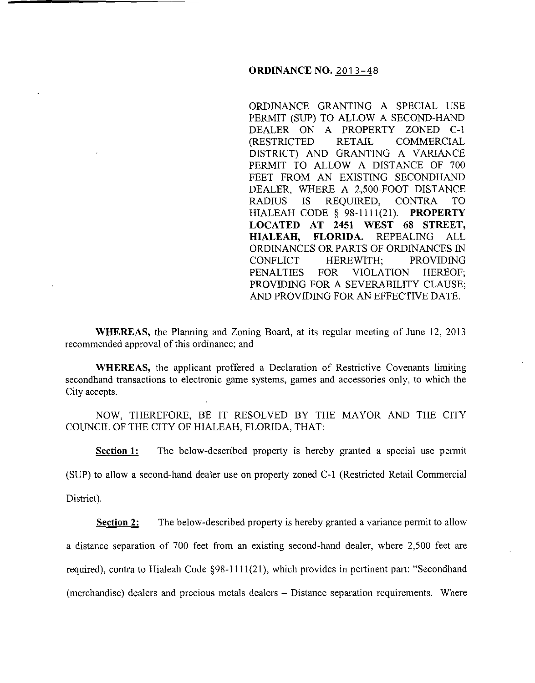### **ORDINANCE NO.** 2013-48

ORDINANCE GRANTING A SPECIAL USE PERMIT (SUP) TO ALLOW A SECOND-HAND DEALER ON A PROPERTY ZONED C-1 (RESTRICTED RETAIL COMMERCIAL DISTRICT) AND GRANTING A VARIANCE PERMIT TO ALLOW A DISTANCE OF 700 FEET FROM AN EXISTING SECONDHAND DEALER, WHERE A 2,500-FOOT DISTANCE RADIUS IS REQUIRED, CONTRA TO HIALEAH CODE § 98-1111(21). **PROPERTY LOCATED AT 2451 WEST 68 STREET, HIALEAH, FLORIDA.** REPEALING ALL ORDINANCES OR PARTS OF ORDINANCES IN CONFLICT HEREWITH; PROVIDING PENALTIES FOR VIOLATION HEREOF; PROVIDING FOR A SEVERABILITY CLAUSE; AND PROVIDING FOR AN EFFECTIVE DATE.

**WHEREAS,** the Planning and Zoning Board, at its regular meeting of June 12, 2013 recommended approval of this ordinance; and

**WHEREAS,** the applicant proffered a Declaration of Restrictive Covenants limiting secondhand transactions to electronic game systems, games and accessories only, to which the City accepts.

NOW, THEREFORE, BE IT RESOLVED BY THE MAYOR AND THE CITY COUNCIL OF THE CITY OF HIALEAH, FLORIDA, THAT:

**Section 1:** The below-described property is hereby granted a special use permit

(SUP) to allow a second-hand dealer use on property zoned C-1 (Restricted Retail Commercial

District).

**Section 2:** The below-described property is hereby granted a variance permit to allow a distance separation of 700 feet from an existing second-hand dealer, where 2,500 feet are required), contra to Hialeah Code §98-1111(21), which provides in pertinent part: "Secondhand (merchandise) dealers and precious metals dealers - Distance separation requirements. Where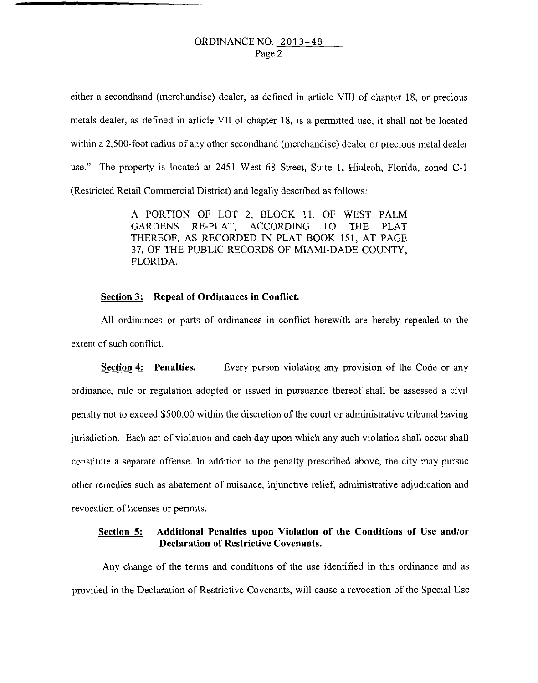either a secondhand (merchandise) dealer, as defined in article VIII of chapter 18, or precious metals dealer, as defined in article VII of chapter 18, is a permitted use, it shall not be located within a 2,500-foot radius of any other secondhand (merchandise) dealer or precious metal dealer use." The property is located at 2451 West 68 Street, Suite **1,** Hialeah, Florida, zoned C-1 (Restricted Retail Commercial District) and legally described as follows:

> A PORTION OF LOT 2, BLOCK 11, OF WEST PALM GARDENS RE-PLAT, ACCORDING TO THE PLAT THEREOF, AS RECORDED IN PLAT BOOK 151, AT PAGE 37, OF THE PUBLIC RECORDS OF MIAMI-DADE COUNTY, FLORIDA

### **Section 3: Repeal of Ordinances in Conflict.**

All ordinances or parts of ordinances in conflict herewith are hereby repealed to the extent of such conflict.

**Section 4:** Penalties. Every person violating any provision of the Code or any ordinance, rule or regulation adopted or issued in pursuance thereof shall be assessed a civil penalty not to exceed \$500.00 within the discretion of the court or administrative tribunal having jurisdiction. Each act of violation and each day upon which any such violation shall occur shall constitute a separate offense. In addition to the penalty prescribed above, the city may pursue other remedies such as abatement of nuisance, injunctive relief, administrative adjudication and revocation of licenses or permits.

## **Section 5: Additional Penalties upon Violation of the Conditions of Use and/or Declaration of Restrictive Covenants.**

Any change of the terms and conditions of the use identified in this ordinance and as provided in the Declaration of Restrictive Covenants, will cause a revocation of the Special Use